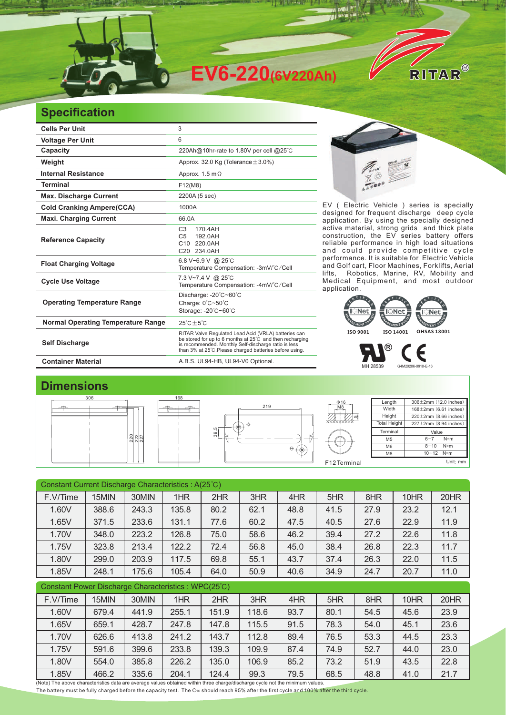

## **Specification**

| <b>Cells Per Unit</b>                     | 3                                                                                                                                                                                                                                   |
|-------------------------------------------|-------------------------------------------------------------------------------------------------------------------------------------------------------------------------------------------------------------------------------------|
| <b>Voltage Per Unit</b>                   | 6                                                                                                                                                                                                                                   |
| Capacity                                  | 220Ah@10hr-rate to 1.80V per cell @25°C                                                                                                                                                                                             |
| Weight                                    | Approx. 32.0 Kg (Tolerance $\pm$ 3.0%)                                                                                                                                                                                              |
| <b>Internal Resistance</b>                | Approx. 1.5 m $\Omega$                                                                                                                                                                                                              |
| <b>Terminal</b>                           | F12(M8)                                                                                                                                                                                                                             |
| <b>Max. Discharge Current</b>             | 2200A (5 sec)                                                                                                                                                                                                                       |
| <b>Cold Cranking Ampere(CCA)</b>          | 1000A                                                                                                                                                                                                                               |
| <b>Maxi. Charging Current</b>             | 66.0A                                                                                                                                                                                                                               |
| <b>Reference Capacity</b>                 | 170.4AH<br>C <sub>3</sub><br>C <sub>5</sub><br>192.0AH<br>C10 220.0AH<br>C20 234.0AH                                                                                                                                                |
| <b>Float Charging Voltage</b>             | 6.8 V~6.9 V @ 25°C<br>Temperature Compensation: -3mV/°C/Cell                                                                                                                                                                        |
| <b>Cycle Use Voltage</b>                  | 7.3 V~7.4 V @ 25°C<br>Temperature Compensation: -4mV/°C/Cell                                                                                                                                                                        |
| <b>Operating Temperature Range</b>        | Discharge: -20°C~60°C<br>Charge: 0°C~50°C<br>Storage: -20°C~60°C                                                                                                                                                                    |
| <b>Normal Operating Temperature Range</b> | $25^{\circ}$ C $\pm$ 5 $^{\circ}$ C                                                                                                                                                                                                 |
| <b>Self Discharge</b>                     | RITAR Valve Regulated Lead Acid (VRLA) batteries can<br>be stored for up to 6 months at 25°C and then recharging<br>is recommended. Monthly Self-discharge ratio is less<br>than 3% at 25°C. Please charged batteries before using. |
| <b>Container Material</b>                 | A.B.S. UL94-HB, UL94-V0 Optional.                                                                                                                                                                                                   |



EV ( Electric Vehicle ) series is specially designed for frequent discharge deep cycle application. By using the specially designed active material, strong grids and thick plate construction, the EV series battery offers reliable performance in high load situations and could provide competitive cycle performance. It is suitable for Electric Vehicle and Golf cart, Floor Machines, Forklifts, Aerial lifts, Robotics, Marine, RV, Mobility and Medical Equipment, and most outdoor application. It is suitable for



MH 28539 G4M20206-0910-E-16

## **Dimensions**



| Constant Current Discharge Characteristics : A(25°C) |       |       |       |       |       |      |      |      |      |      |  |
|------------------------------------------------------|-------|-------|-------|-------|-------|------|------|------|------|------|--|
| F.V/Time                                             | 15MIN | 30MIN | 1HR   | 2HR   | 3HR   | 4HR  | 5HR  | 8HR  | 10HR | 20HR |  |
| 1.60V                                                | 388.6 | 243.3 | 135.8 | 80.2  | 62.1  | 48.8 | 41.5 | 27.9 | 23.2 | 12.1 |  |
| 1.65V                                                | 371.5 | 233.6 | 131.1 | 77.6  | 60.2  | 47.5 | 40.5 | 27.6 | 22.9 | 11.9 |  |
| 1.70V                                                | 348.0 | 223.2 | 126.8 | 75.0  | 58.6  | 46.2 | 39.4 | 27.2 | 22.6 | 11.8 |  |
| 1.75V                                                | 323.8 | 213.4 | 122.2 | 72.4  | 56.8  | 45.0 | 38.4 | 26.8 | 22.3 | 11.7 |  |
| 1.80V                                                | 299.0 | 203.9 | 117.5 | 69.8  | 55.1  | 43.7 | 37.4 | 26.3 | 22.0 | 11.5 |  |
| 1.85V                                                | 248.1 | 175.6 | 105.4 | 64.0  | 50.9  | 40.6 | 34.9 | 24.7 | 20.7 | 11.0 |  |
| Constant Power Discharge Characteristics: WPC(25°C)  |       |       |       |       |       |      |      |      |      |      |  |
| F.V/Time                                             | 15MIN | 30MIN | 1HR   | 2HR   | 3HR   | 4HR  | 5HR  | 8HR  | 10HR | 20HR |  |
| 1.60V                                                | 679.4 | 441.9 | 255.1 | 151.9 | 118.6 | 93.7 | 80.1 | 54.5 | 45.6 | 23.9 |  |
| 1.65V                                                | 659.1 | 428.7 | 247.8 | 147.8 | 115.5 | 91.5 | 78.3 | 54.0 | 45.1 | 23.6 |  |
| 1.70V                                                | 626.6 | 413.8 | 241.2 | 143.7 | 112.8 | 89.4 | 76.5 | 53.3 | 44.5 | 23.3 |  |
| 1.75V                                                | 591.6 | 399.6 | 233.8 | 139.3 | 109.9 | 87.4 | 74.9 | 52.7 | 44.0 | 23.0 |  |
| 1.80V                                                | 554.0 | 385.8 | 226.2 | 135.0 | 106.9 | 85.2 | 73.2 | 51.9 | 43.5 | 22.8 |  |
| 1.85V                                                | 466.2 | 335.6 | 204.1 | 124.4 | 99.3  | 79.5 | 68.5 | 48.8 | 41.0 | 21.7 |  |

(Note) The above characteristics data are average values obtained within three charge/discharge cycle not the minimum values. The battery must be fully charged before the capacity test. The C10 should reach 95% after the first cycle and 100% after the third cycle.